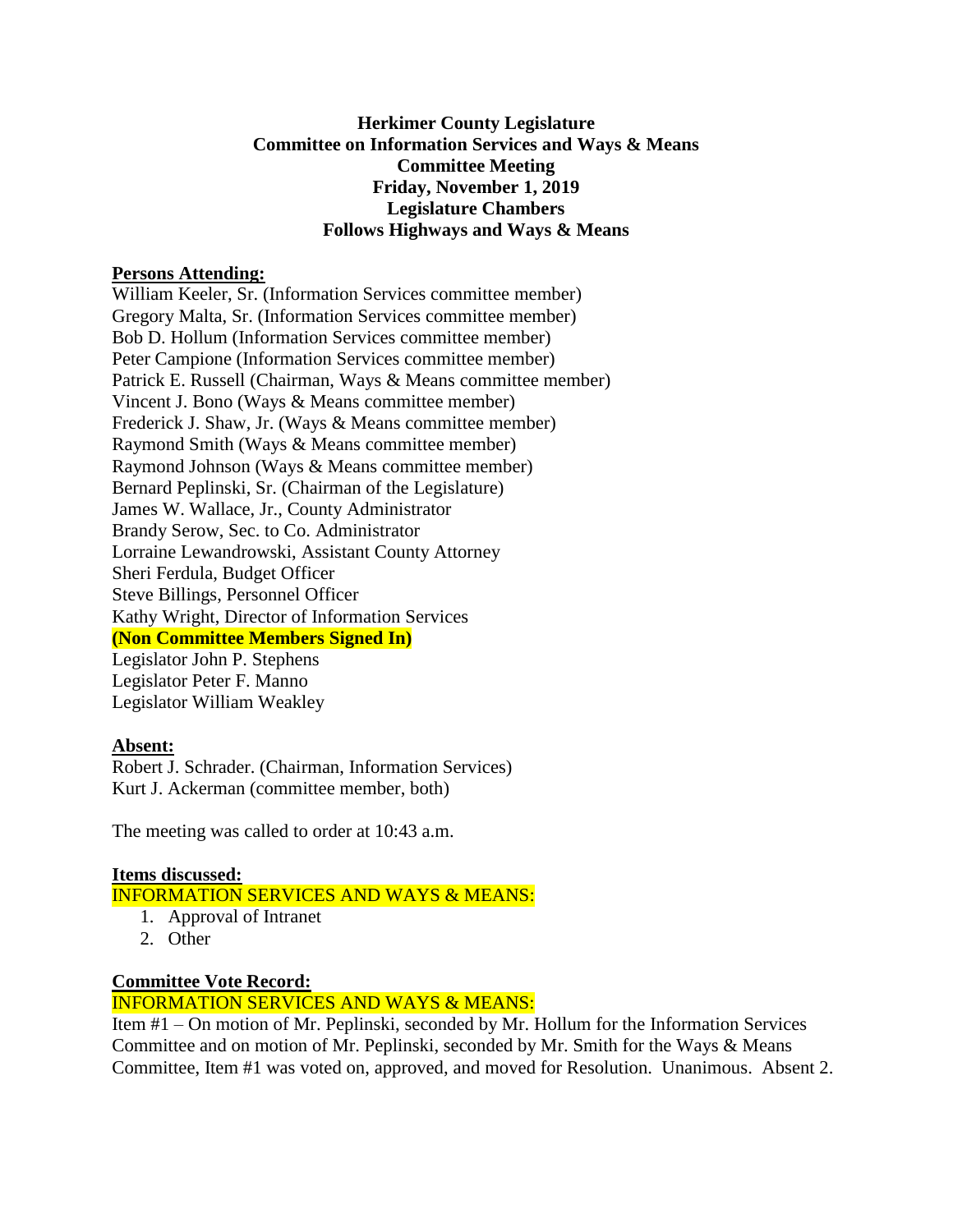# **Herkimer County Legislature Committee on Information Services and Ways & Means Committee Meeting Friday, November 1, 2019 Legislature Chambers Follows Highways and Ways & Means**

### **Persons Attending:**

William Keeler, Sr. (Information Services committee member) Gregory Malta, Sr. (Information Services committee member) Bob D. Hollum (Information Services committee member) Peter Campione (Information Services committee member) Patrick E. Russell (Chairman, Ways & Means committee member) Vincent J. Bono (Ways & Means committee member) Frederick J. Shaw, Jr. (Ways & Means committee member) Raymond Smith (Ways & Means committee member) Raymond Johnson (Ways & Means committee member) Bernard Peplinski, Sr. (Chairman of the Legislature) James W. Wallace, Jr., County Administrator Brandy Serow, Sec. to Co. Administrator Lorraine Lewandrowski, Assistant County Attorney Sheri Ferdula, Budget Officer Steve Billings, Personnel Officer Kathy Wright, Director of Information Services **(Non Committee Members Signed In)** Legislator John P. Stephens Legislator Peter F. Manno Legislator William Weakley

# **Absent:**

Robert J. Schrader. (Chairman, Information Services) Kurt J. Ackerman (committee member, both)

The meeting was called to order at 10:43 a.m.

# **Items discussed:** INFORMATION SERVICES AND WAYS & MEANS:

- 1. Approval of Intranet
- 2. Other

# **Committee Vote Record:**

# INFORMATION SERVICES AND WAYS & MEANS:

Item #1 – On motion of Mr. Peplinski, seconded by Mr. Hollum for the Information Services Committee and on motion of Mr. Peplinski, seconded by Mr. Smith for the Ways & Means Committee, Item #1 was voted on, approved, and moved for Resolution. Unanimous. Absent 2.